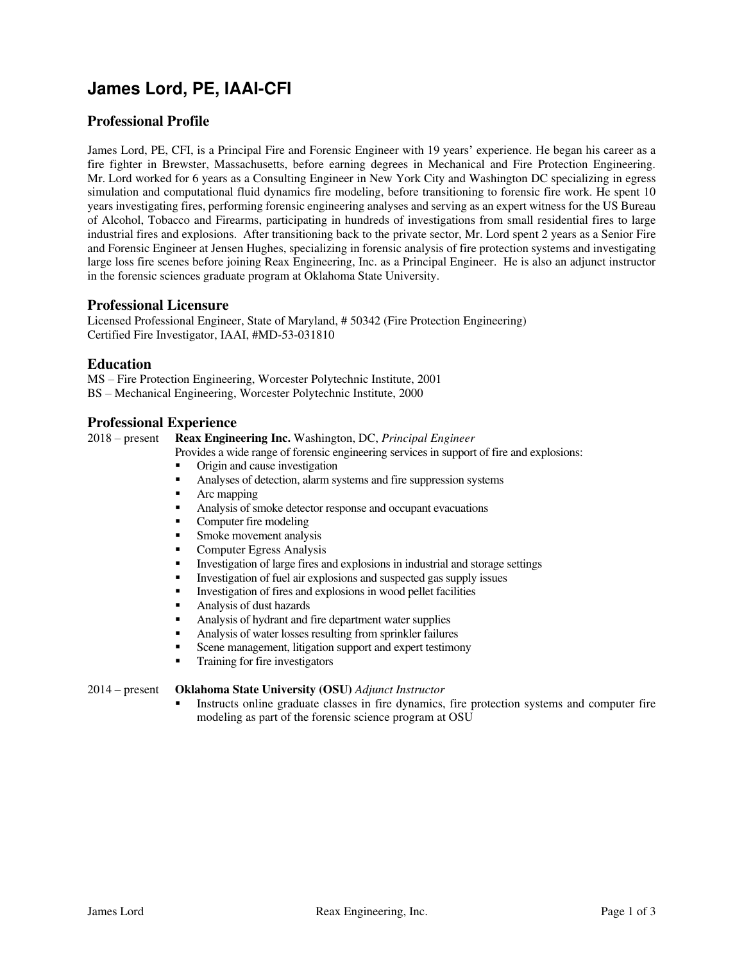# **James Lord, PE, IAAI-CFI**

## **Professional Profile**

James Lord, PE, CFI, is a Principal Fire and Forensic Engineer with 19 years' experience. He began his career as a fire fighter in Brewster, Massachusetts, before earning degrees in Mechanical and Fire Protection Engineering. Mr. Lord worked for 6 years as a Consulting Engineer in New York City and Washington DC specializing in egress simulation and computational fluid dynamics fire modeling, before transitioning to forensic fire work. He spent 10 years investigating fires, performing forensic engineering analyses and serving as an expert witness for the US Bureau of Alcohol, Tobacco and Firearms, participating in hundreds of investigations from small residential fires to large industrial fires and explosions. After transitioning back to the private sector, Mr. Lord spent 2 years as a Senior Fire and Forensic Engineer at Jensen Hughes, specializing in forensic analysis of fire protection systems and investigating large loss fire scenes before joining Reax Engineering, Inc. as a Principal Engineer. He is also an adjunct instructor in the forensic sciences graduate program at Oklahoma State University.

#### **Professional Licensure**

Licensed Professional Engineer, State of Maryland, # 50342 (Fire Protection Engineering) Certified Fire Investigator, IAAI, #MD-53-031810

#### **Education**

MS – Fire Protection Engineering, Worcester Polytechnic Institute, 2001 BS – Mechanical Engineering, Worcester Polytechnic Institute, 2000

#### **Professional Experience**

2018 – present **Reax Engineering Inc.** Washington, DC, *Principal Engineer* 

- Provides a wide range of forensic engineering services in support of fire and explosions:
- Origin and cause investigation
- Analyses of detection, alarm systems and fire suppression systems
- Arc mapping
- Analysis of smoke detector response and occupant evacuations
- Computer fire modeling
- Smoke movement analysis
- **Computer Egress Analysis**
- Investigation of large fires and explosions in industrial and storage settings
- Investigation of fuel air explosions and suspected gas supply issues
- **•** Investigation of fires and explosions in wood pellet facilities
- Analysis of dust hazards
- Analysis of hydrant and fire department water supplies
- Analysis of water losses resulting from sprinkler failures
- Scene management, litigation support and expert testimony
- Training for fire investigators

#### 2014 – present **Oklahoma State University (OSU)** *Adjunct Instructor*

Instructs online graduate classes in fire dynamics, fire protection systems and computer fire modeling as part of the forensic science program at OSU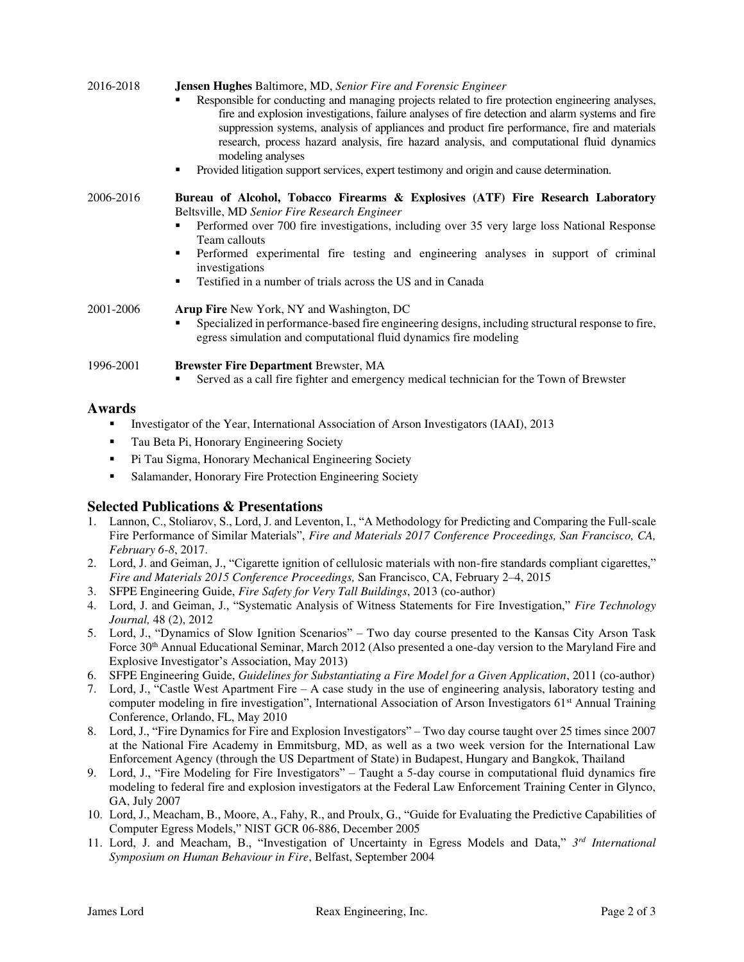| 2016-2018 | <b>Jensen Hughes Baltimore, MD, Senior Fire and Forensic Engineer</b>                                                                                                                                                                                                                                                                                                                                                   |
|-----------|-------------------------------------------------------------------------------------------------------------------------------------------------------------------------------------------------------------------------------------------------------------------------------------------------------------------------------------------------------------------------------------------------------------------------|
|           | Responsible for conducting and managing projects related to fire protection engineering analyses,<br>fire and explosion investigations, failure analyses of fire detection and alarm systems and fire<br>suppression systems, analysis of appliances and product fire performance, fire and materials<br>research, process hazard analysis, fire hazard analysis, and computational fluid dynamics<br>modeling analyses |
|           | Provided litigation support services, expert testimony and origin and cause determination.<br>٠                                                                                                                                                                                                                                                                                                                         |
| 2006-2016 | Bureau of Alcohol, Tobacco Firearms & Explosives (ATF) Fire Research Laboratory<br>Beltsville, MD Senior Fire Research Engineer                                                                                                                                                                                                                                                                                         |
|           | Performed over 700 fire investigations, including over 35 very large loss National Response                                                                                                                                                                                                                                                                                                                             |
|           | Team callouts                                                                                                                                                                                                                                                                                                                                                                                                           |
|           | Performed experimental fire testing and engineering analyses in support of criminal<br>٠<br>investigations                                                                                                                                                                                                                                                                                                              |
|           | Testified in a number of trials across the US and in Canada<br>٠                                                                                                                                                                                                                                                                                                                                                        |
| 2001-2006 | Arup Fire New York, NY and Washington, DC                                                                                                                                                                                                                                                                                                                                                                               |
|           | Specialized in performance-based fire engineering designs, including structural response to fire,<br>egress simulation and computational fluid dynamics fire modeling                                                                                                                                                                                                                                                   |
| 1996-2001 | <b>Brewster Fire Department Brewster, MA</b>                                                                                                                                                                                                                                                                                                                                                                            |
|           | Served as a call fire fighter and emergency medical technician for the Town of Brewster                                                                                                                                                                                                                                                                                                                                 |

### **Awards**

- **•** Investigator of the Year, International Association of Arson Investigators (IAAI), 2013
- Tau Beta Pi, Honorary Engineering Society
- **•** Pi Tau Sigma, Honorary Mechanical Engineering Society
- Salamander, Honorary Fire Protection Engineering Society

### **Selected Publications & Presentations**

- 1. Lannon, C., Stoliarov, S., Lord, J. and Leventon, I., "A Methodology for Predicting and Comparing the Full-scale Fire Performance of Similar Materials", *Fire and Materials 2017 Conference Proceedings, San Francisco, CA, February 6-8*, 2017.
- 2. Lord, J. and Geiman, J., "Cigarette ignition of cellulosic materials with non-fire standards compliant cigarettes," *Fire and Materials 2015 Conference Proceedings,* San Francisco, CA, February 2–4, 2015
- 3. SFPE Engineering Guide, *Fire Safety for Very Tall Buildings*, 2013 (co-author)
- 4. Lord, J. and Geiman, J., "Systematic Analysis of Witness Statements for Fire Investigation," *Fire Technology Journal,* 48 (2), 2012
- 5. Lord, J., "Dynamics of Slow Ignition Scenarios" Two day course presented to the Kansas City Arson Task Force 30th Annual Educational Seminar, March 2012 (Also presented a one-day version to the Maryland Fire and Explosive Investigator's Association, May 2013)
- 6. SFPE Engineering Guide, *Guidelines for Substantiating a Fire Model for a Given Application*, 2011 (co-author)
- 7. Lord, J., "Castle West Apartment Fire A case study in the use of engineering analysis, laboratory testing and computer modeling in fire investigation", International Association of Arson Investigators 61<sup>st</sup> Annual Training Conference, Orlando, FL, May 2010
- 8. Lord, J., "Fire Dynamics for Fire and Explosion Investigators" Two day course taught over 25 times since 2007 at the National Fire Academy in Emmitsburg, MD, as well as a two week version for the International Law Enforcement Agency (through the US Department of State) in Budapest, Hungary and Bangkok, Thailand
- 9. Lord, J., "Fire Modeling for Fire Investigators" Taught a 5-day course in computational fluid dynamics fire modeling to federal fire and explosion investigators at the Federal Law Enforcement Training Center in Glynco, GA, July 2007
- 10. Lord, J., Meacham, B., Moore, A., Fahy, R., and Proulx, G., "Guide for Evaluating the Predictive Capabilities of Computer Egress Models," NIST GCR 06-886, December 2005
- 11. Lord, J. and Meacham, B., "Investigation of Uncertainty in Egress Models and Data," *3 rd International Symposium on Human Behaviour in Fire*, Belfast, September 2004